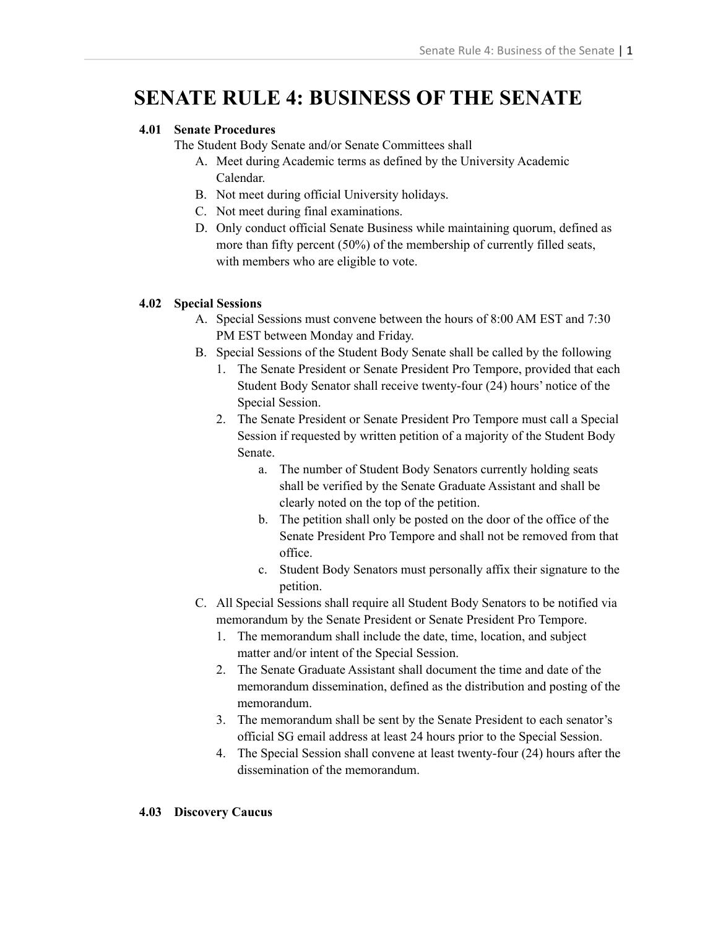# **SENATE RULE 4: BUSINESS OF THE SENATE**

## **4.01 Senate Procedures**

The Student Body Senate and/or Senate Committees shall

- A. Meet during Academic terms as defined by the University Academic Calendar.
- B. Not meet during official University holidays.
- C. Not meet during final examinations.
- D. Only conduct official Senate Business while maintaining quorum, defined as more than fifty percent (50%) of the membership of currently filled seats, with members who are eligible to vote.

## **4.02 Special Sessions**

- A. Special Sessions must convene between the hours of 8:00 AM EST and 7:30 PM EST between Monday and Friday.
- B. Special Sessions of the Student Body Senate shall be called by the following
	- 1. The Senate President or Senate President Pro Tempore, provided that each Student Body Senator shall receive twenty-four (24) hours' notice of the Special Session.
	- 2. The Senate President or Senate President Pro Tempore must call a Special Session if requested by written petition of a majority of the Student Body Senate.
		- a. The number of Student Body Senators currently holding seats shall be verified by the Senate Graduate Assistant and shall be clearly noted on the top of the petition.
		- b. The petition shall only be posted on the door of the office of the Senate President Pro Tempore and shall not be removed from that office.
		- c. Student Body Senators must personally affix their signature to the petition.
- C. All Special Sessions shall require all Student Body Senators to be notified via memorandum by the Senate President or Senate President Pro Tempore.
	- 1. The memorandum shall include the date, time, location, and subject matter and/or intent of the Special Session.
	- 2. The Senate Graduate Assistant shall document the time and date of the memorandum dissemination, defined as the distribution and posting of the memorandum.
	- 3. The memorandum shall be sent by the Senate President to each senator's official SG email address at least 24 hours prior to the Special Session.
	- 4. The Special Session shall convene at least twenty-four (24) hours after the dissemination of the memorandum.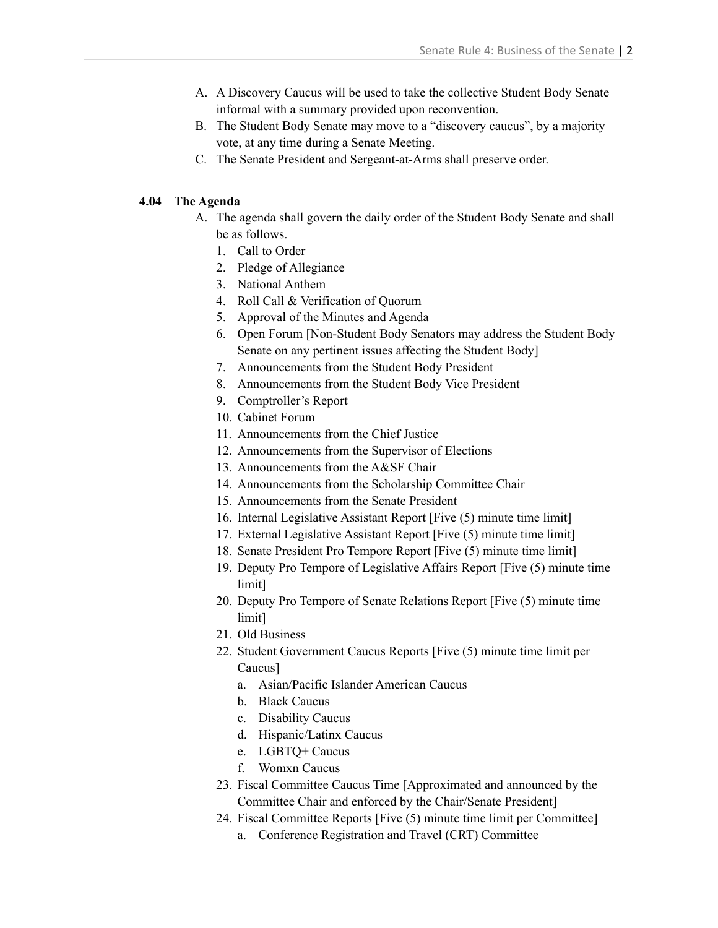- A. A Discovery Caucus will be used to take the collective Student Body Senate informal with a summary provided upon reconvention.
- B. The Student Body Senate may move to a "discovery caucus", by a majority vote, at any time during a Senate Meeting.
- C. The Senate President and Sergeant-at-Arms shall preserve order.

#### **4.04 The Agenda**

- A. The agenda shall govern the daily order of the Student Body Senate and shall be as follows.
	- 1. Call to Order
	- 2. Pledge of Allegiance
	- 3. National Anthem
	- 4. Roll Call & Verification of Quorum
	- 5. Approval of the Minutes and Agenda
	- 6. Open Forum [Non-Student Body Senators may address the Student Body Senate on any pertinent issues affecting the Student Body]
	- 7. Announcements from the Student Body President
	- 8. Announcements from the Student Body Vice President
	- 9. Comptroller's Report
	- 10. Cabinet Forum
	- 11. Announcements from the Chief Justice
	- 12. Announcements from the Supervisor of Elections
	- 13. Announcements from the A&SF Chair
	- 14. Announcements from the Scholarship Committee Chair
	- 15. Announcements from the Senate President
	- 16. Internal Legislative Assistant Report [Five (5) minute time limit]
	- 17. External Legislative Assistant Report [Five (5) minute time limit]
	- 18. Senate President Pro Tempore Report [Five (5) minute time limit]
	- 19. Deputy Pro Tempore of Legislative Affairs Report [Five (5) minute time limit]
	- 20. Deputy Pro Tempore of Senate Relations Report [Five (5) minute time limit]
	- 21. Old Business
	- 22. Student Government Caucus Reports [Five (5) minute time limit per Caucus]
		- a. Asian/Pacific Islander American Caucus
		- b. Black Caucus
		- c. Disability Caucus
		- d. Hispanic/Latinx Caucus
		- e. LGBTQ+ Caucus
		- f. Womxn Caucus
	- 23. Fiscal Committee Caucus Time [Approximated and announced by the Committee Chair and enforced by the Chair/Senate President]
	- 24. Fiscal Committee Reports [Five (5) minute time limit per Committee]
		- a. Conference Registration and Travel (CRT) Committee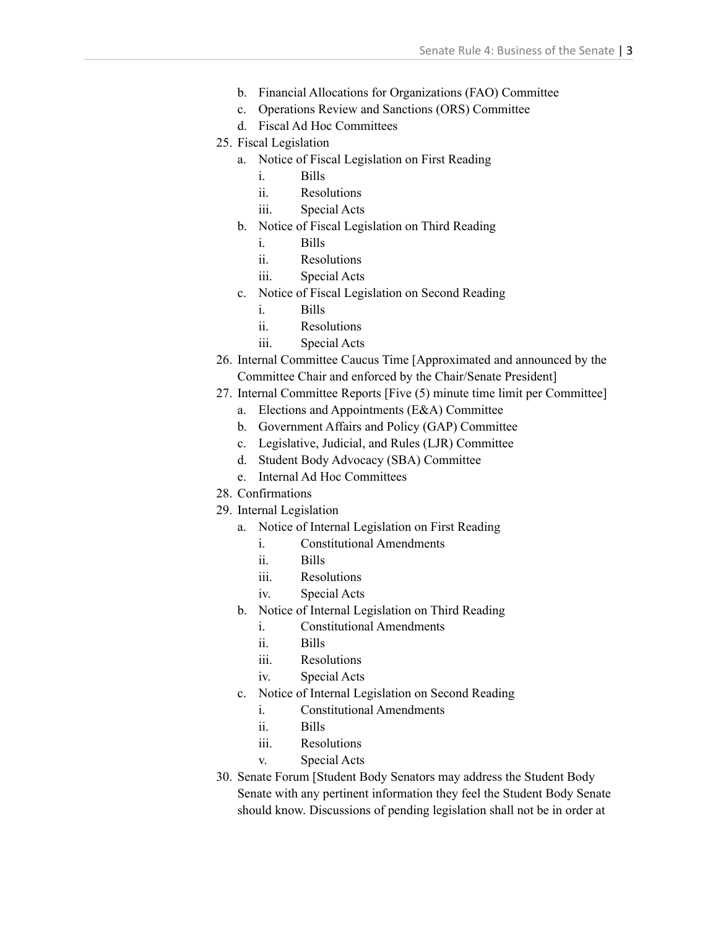- b. Financial Allocations for Organizations (FAO) Committee
- c. Operations Review and Sanctions (ORS) Committee
- d. Fiscal Ad Hoc Committees
- 25. Fiscal Legislation
	- a. Notice of Fiscal Legislation on First Reading
		- i. Bills
		- ii. Resolutions
		- iii. Special Acts
	- b. Notice of Fiscal Legislation on Third Reading
		- i. Bills
		- ii. Resolutions
		- iii. Special Acts
	- c. Notice of Fiscal Legislation on Second Reading
		- i. Bills
		- ii. Resolutions
		- iii. Special Acts
- 26. Internal Committee Caucus Time [Approximated and announced by the Committee Chair and enforced by the Chair/Senate President]
- 27. Internal Committee Reports [Five (5) minute time limit per Committee]
	- a. Elections and Appointments (E&A) Committee
	- b. Government Affairs and Policy (GAP) Committee
	- c. Legislative, Judicial, and Rules (LJR) Committee
	- d. Student Body Advocacy (SBA) Committee
	- e. Internal Ad Hoc Committees
- 28. Confirmations
- 29. Internal Legislation
	- a. Notice of Internal Legislation on First Reading
		- i. Constitutional Amendments
		- ii. Bills
		- iii. Resolutions
		- iv. Special Acts
	- b. Notice of Internal Legislation on Third Reading
		- i. Constitutional Amendments
		- ii. Bills
		- iii. Resolutions
		- iv. Special Acts
	- c. Notice of Internal Legislation on Second Reading
		- i. Constitutional Amendments
		- ii. Bills
		- iii. Resolutions
		- v. Special Acts
- 30. Senate Forum [Student Body Senators may address the Student Body Senate with any pertinent information they feel the Student Body Senate should know. Discussions of pending legislation shall not be in order at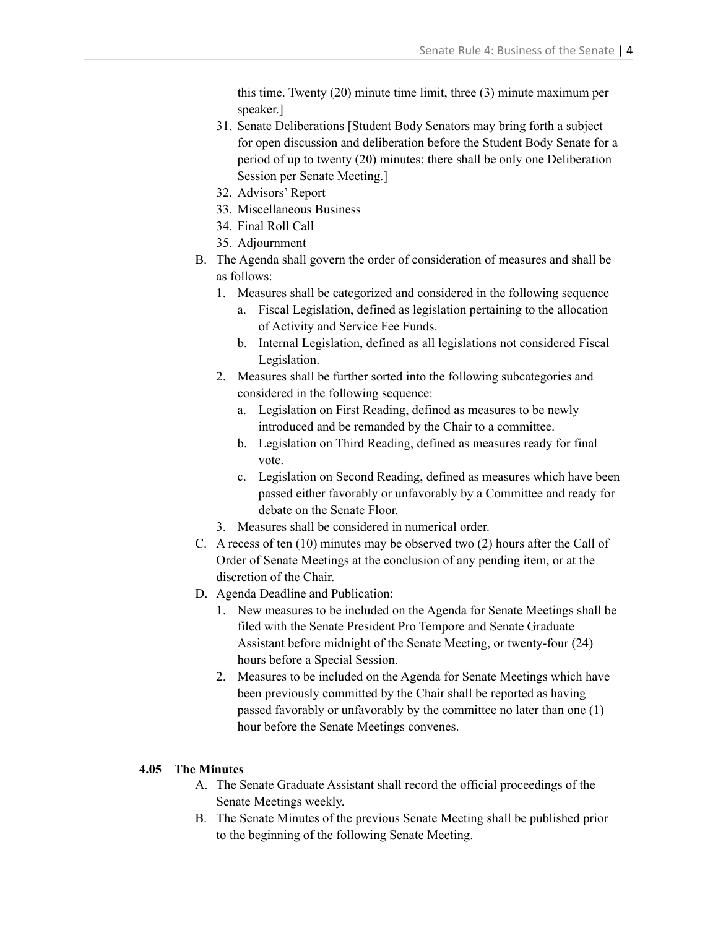this time. Twenty (20) minute time limit, three (3) minute maximum per speaker.]

- 31. Senate Deliberations [Student Body Senators may bring forth a subject for open discussion and deliberation before the Student Body Senate for a period of up to twenty (20) minutes; there shall be only one Deliberation Session per Senate Meeting.]
- 32. Advisors' Report
- 33. Miscellaneous Business
- 34. Final Roll Call
- 35. Adjournment
- B. The Agenda shall govern the order of consideration of measures and shall be as follows:
	- 1. Measures shall be categorized and considered in the following sequence
		- a. Fiscal Legislation, defined as legislation pertaining to the allocation of Activity and Service Fee Funds.
		- b. Internal Legislation, defined as all legislations not considered Fiscal Legislation.
	- 2. Measures shall be further sorted into the following subcategories and considered in the following sequence:
		- a. Legislation on First Reading, defined as measures to be newly introduced and be remanded by the Chair to a committee.
		- b. Legislation on Third Reading, defined as measures ready for final vote.
		- c. Legislation on Second Reading, defined as measures which have been passed either favorably or unfavorably by a Committee and ready for debate on the Senate Floor.
	- 3. Measures shall be considered in numerical order.
- C. A recess of ten (10) minutes may be observed two (2) hours after the Call of Order of Senate Meetings at the conclusion of any pending item, or at the discretion of the Chair.
- D. Agenda Deadline and Publication:
	- 1. New measures to be included on the Agenda for Senate Meetings shall be filed with the Senate President Pro Tempore and Senate Graduate Assistant before midnight of the Senate Meeting, or twenty-four (24) hours before a Special Session.
	- 2. Measures to be included on the Agenda for Senate Meetings which have been previously committed by the Chair shall be reported as having passed favorably or unfavorably by the committee no later than one (1) hour before the Senate Meetings convenes.

### **4.05 The Minutes**

- A. The Senate Graduate Assistant shall record the official proceedings of the Senate Meetings weekly.
- B. The Senate Minutes of the previous Senate Meeting shall be published prior to the beginning of the following Senate Meeting.